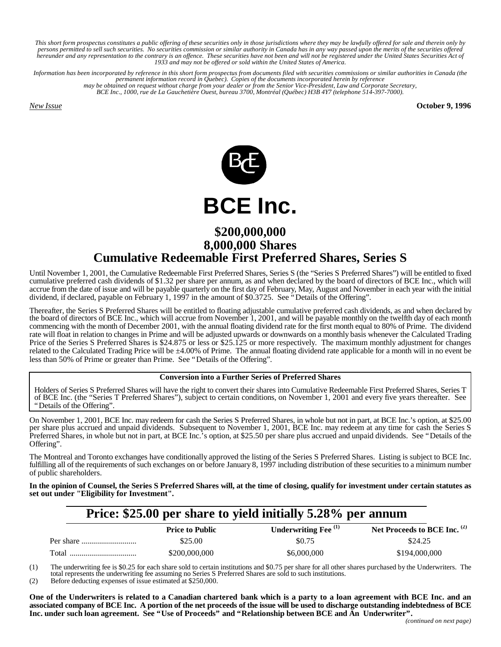*This short form prospectus constitutes a public offering of these securities only in those jurisdictions where they may be lawfully offered for sale and therein only by* persons permitted to sell such securities. No securities commission or similar authority in Canada has in any way passed upon the merits of the securities offered<br>hereunder and any representation to the contrary is an offe *1933 and may not be offered or sold within the United States of America.*

*Information has been incorporated by reference in this short form prospectus from documents filed with securities commissions or similar authorities in Canada (the permanent information record in Quebec). Copies of the documents incorporated herein by reference may be obtained on request without charge from your dealer or from the Senior Vice-President, Law and Corporate Secretary, BCE Inc., 1000, rue de La Gauchetière Ouest, bureau 3700, Montréal (Québec) H3B 4Y7 (telephone 514-397-7000).*

*New Issue* **October 9, 1996**



# **\$200,000,000 8,000,000 Shares Cumulative Redeemable First Preferred Shares, Series S**

Until November 1, 2001, the Cumulative Redeemable First Preferred Shares, Series S (the "Series S Preferred Shares") will be entitled to fixed cumulative preferred cash dividends of \$1.32 per share per annum, as and when declared by the board of directors of BCE Inc., which will accrue from the date of issue and will be payable quarterly on the first day of February, May, August and November in each year with the initial dividend, if declared, payable on February 1, 1997 in the amount of \$0.3725. See "Details of the Offering".

Thereafter, the Series S Preferred Shares will be entitled to floating adjustable cumulative preferred cash dividends, as and when declared by the board of directors of BCE Inc., which will accrue from November 1, 2001, and will be payable monthly on the twelfth day of each month commencing with the month of December 2001, with the annual floating dividend rate for the first month equal to 80% of Prime. The dividend rate will float in relation to changes in Prime and will be adjusted upwards or downwards on a monthly basis whenever the Calculated Trading Price of the Series S Preferred Shares is \$24.875 or less or \$25.125 or more respectively. The maximum monthly adjustment for changes related to the Calculated Trading Price will be  $\pm 4.00\%$  of Prime. The annual floating dividend rate applicable for a month will in no event be less than 50% of Prime or greater than Prime. See "Details of the Offering".

### **Conversion into a Further Series of Preferred Shares**

Holders of Series S Preferred Shares will have the right to convert their shares into Cumulative Redeemable First Preferred Shares, Series T of BCE Inc. (the "Series T Preferred Shares"), subject to certain conditions, on November 1, 2001 and every five years thereafter. See "Details of the Offering".

On November 1, 2001, BCE Inc. may redeem for cash the Series S Preferred Shares, in whole but not in part, at BCE Inc.'s option, at \$25.00 per share plus accrued and unpaid dividends. Subsequent to November 1, 2001, BCE Inc. may redeem at any time for cash the Series S Preferred Shares, in whole but not in part, at BCE Inc.'s option, at \$25.50 per share plus accrued and unpaid dividends. See "Details of the Offering".

The Montreal and Toronto exchanges have conditionally approved the listing of the Series S Preferred Shares. Listing is subject to BCE Inc. fulfilling all of the requirements of such exchanges on or before January 8, 1997 including distribution of these securities to a minimum number of public shareholders.

**In the opinion of Counsel, the Series S Preferred Shares will, at the time of closing, qualify for investment under certain statutes as set out under "Eligibility for Investment".**

# **Price: \$25.00 per share to yield initially 5.28% per annum**

|       | <b>Price to Public</b> | Underwriting Fee <sup>(1)</sup> | Net Proceeds to BCE Inc. $(2)$ |
|-------|------------------------|---------------------------------|--------------------------------|
|       | \$25.00                | \$0.75                          | \$24.25                        |
| Total | \$200,000,000          | \$6,000,000                     | \$194,000,000                  |

(1) The underwriting fee is \$0.25 for each share sold to certain institutions and \$0.75 per share for all other shares purchased by the Underwriters. The total represents the underwriting fee assuming no Series S Preferred Shares are sold to such institutions.

(2) Before deducting expenses of issue estimated at \$250,000.

**One of the Underwriters is related to a Canadian chartered bank which is a party to a loan agreement with BCE Inc. and an associated company of BCE Inc. A portion of the net proceeds of the issue will be used to discharge outstanding indebtedness of BCE Inc. under such loan agreement. See "Use of Proceeds" and "Relationship between BCE and An Underwriter".**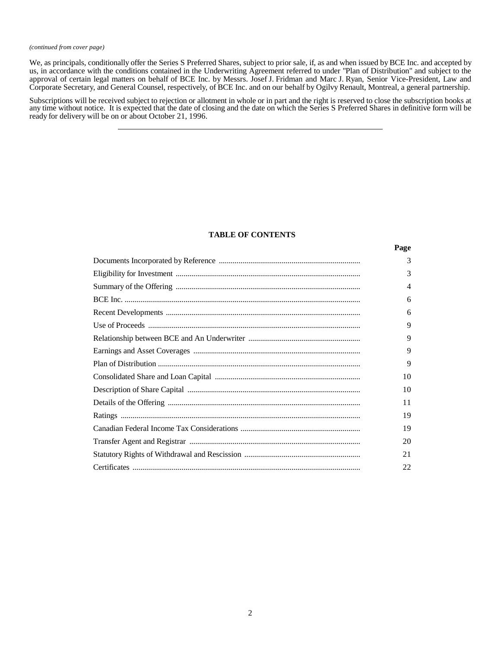#### *(continued from cover page)*

We, as principals, conditionally offer the Series S Preferred Shares, subject to prior sale, if, as and when issued by BCE Inc. and accepted by us, in accordance with the conditions contained in the Underwriting Agreement referred to under "Plan of Distribution" and subject to the approval of certain legal matters on behalf of BCE Inc. by Messrs. Josef J. Fridman and Marc J. Ryan, Senior Vice-President, Law and Corporate Secretary, and General Counsel, respectively, of BCE Inc. and on our behalf by Ogilvy Renault, Montreal, a general partnership.

Subscriptions will be received subject to rejection or allotment in whole or in part and the right is reserved to close the subscription books at any time without notice. It is expected that the date of closing and the date on which the Series S Preferred Shares in definitive form will be ready for delivery will be on or about October 21, 1996.

### **TABLE OF CONTENTS**

| Page |
|------|
| 3    |
| 3    |
| 4    |
| 6    |
| 6    |
| 9    |
| 9    |
| 9    |
| 9    |
| 10   |
| 10   |
| 11   |
| 19   |
| 19   |
| 20   |
| 21   |
| 22   |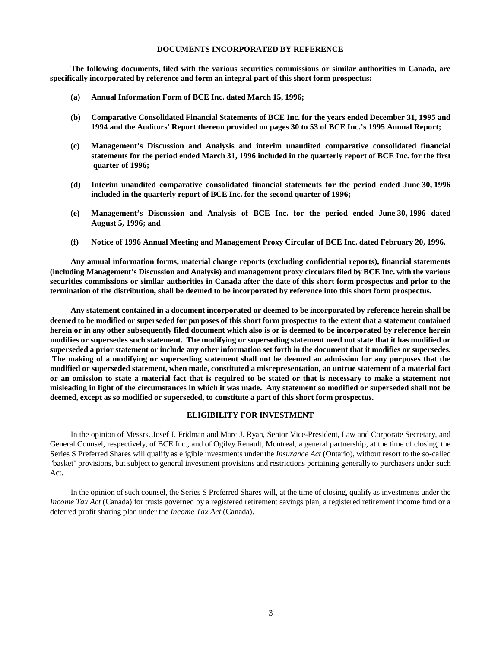#### **DOCUMENTS INCORPORATED BY REFERENCE**

**The following documents, filed with the various securities commissions or similar authorities in Canada, are specifically incorporated by reference and form an integral part of this short form prospectus:**

- **(a) Annual Information Form of BCE Inc. dated March 15, 1996;**
- **(b) Comparative Consolidated Financial Statements of BCE Inc. for the years ended December 31, 1995 and 1994 and the Auditors' Report thereon provided on pages 30 to 53 of BCE Inc.'s 1995 Annual Report;**
- **(c) Management's Discussion and Analysis and interim unaudited comparative consolidated financial statements for the period ended March 31, 1996 included in the quarterly report of BCE Inc. for the first quarter of 1996;**
- **(d) Interim unaudited comparative consolidated financial statements for the period ended June 30, 1996 included in the quarterly report of BCE Inc. for the second quarter of 1996;**
- **(e) Management's Discussion and Analysis of BCE Inc. for the period ended June 30, 1996 dated August 5, 1996; and**
- **(f) Notice of 1996 Annual Meeting and Management Proxy Circular of BCE Inc. dated February 20, 1996.**

**Any annual information forms, material change reports (excluding confidential reports), financial statements (including Management's Discussion and Analysis) and management proxy circulars filed by BCE Inc. with the various securities commissions or similar authorities in Canada after the date of this short form prospectus and prior to the termination of the distribution, shall be deemed to be incorporated by reference into this short form prospectus.**

**Any statement contained in a document incorporated or deemed to be incorporated by reference herein shall be deemed to be modified or superseded for purposes of this short form prospectus to the extent that a statement contained herein or in any other subsequently filed document which also is or is deemed to be incorporated by reference herein modifies or supersedes such statement. The modifying or superseding statement need not state that it has modified or superseded a prior statement or include any other information set forth in the document that it modifies or supersedes. The making of a modifying or superseding statement shall not be deemed an admission for any purposes that the modified or superseded statement, when made, constituted a misrepresentation, an untrue statement of a material fact or an omission to state a material fact that is required to be stated or that is necessary to make a statement not misleading in light of the circumstances in which it was made. Any statement so modified or superseded shall not be deemed, except as so modified or superseded, to constitute a part of this short form prospectus.**

### **ELIGIBILITY FOR INVESTMENT**

In the opinion of Messrs. Josef J. Fridman and Marc J. Ryan, Senior Vice-President, Law and Corporate Secretary, and General Counsel, respectively, of BCE Inc., and of Ogilvy Renault, Montreal, a general partnership, at the time of closing, the Series S Preferred Shares will qualify as eligible investments under the *Insurance Act* (Ontario), without resort to the so-called "basket" provisions, but subject to general investment provisions and restrictions pertaining generally to purchasers under such Act.

In the opinion of such counsel, the Series S Preferred Shares will, at the time of closing, qualify as investments under the *Income Tax Act* (Canada) for trusts governed by a registered retirement savings plan, a registered retirement income fund or a deferred profit sharing plan under the *Income Tax Act* (Canada).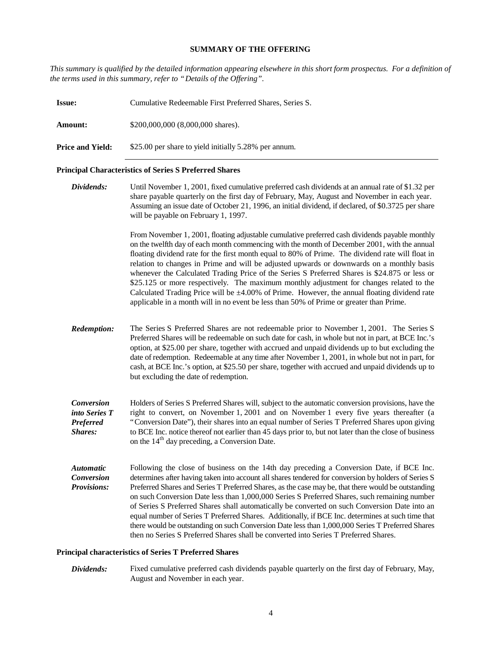### **SUMMARY OF THE OFFERING**

*This summary is qualified by the detailed information appearing elsewhere in this short form prospectus. For a definition of the terms used in this summary, refer to "Details of the Offering".*

| <b>Issue:</b>                                                 | Cumulative Redeemable First Preferred Shares, Series S.                                                                                                                                                                                                                                                                                                                                                                                                                                                                                                                                                                                                                                                                           |  |  |  |
|---------------------------------------------------------------|-----------------------------------------------------------------------------------------------------------------------------------------------------------------------------------------------------------------------------------------------------------------------------------------------------------------------------------------------------------------------------------------------------------------------------------------------------------------------------------------------------------------------------------------------------------------------------------------------------------------------------------------------------------------------------------------------------------------------------------|--|--|--|
| Amount:                                                       | \$200,000,000 (8,000,000 shares).                                                                                                                                                                                                                                                                                                                                                                                                                                                                                                                                                                                                                                                                                                 |  |  |  |
| <b>Price and Yield:</b>                                       | \$25.00 per share to yield initially 5.28% per annum.                                                                                                                                                                                                                                                                                                                                                                                                                                                                                                                                                                                                                                                                             |  |  |  |
| <b>Principal Characteristics of Series S Preferred Shares</b> |                                                                                                                                                                                                                                                                                                                                                                                                                                                                                                                                                                                                                                                                                                                                   |  |  |  |
| Dividends:                                                    | Until November 1, 2001, fixed cumulative preferred cash dividends at an annual rate of \$1.32 per<br>share payable quarterly on the first day of February, May, August and November in each year.<br>Assuming an issue date of October 21, 1996, an initial dividend, if declared, of \$0.3725 per share<br>will be payable on February 1, 1997.                                                                                                                                                                                                                                                                                                                                                                                  |  |  |  |
|                                                               | From November 1, 2001, floating adjustable cumulative preferred cash dividends payable monthly<br>on the twelfth day of each month commencing with the month of December 2001, with the annual<br>floating dividend rate for the first month equal to 80% of Prime. The dividend rate will float in<br>relation to changes in Prime and will be adjusted upwards or downwards on a monthly basis<br>$\alpha$ and $\alpha$ in the $\alpha$ and $\alpha$ in the $\alpha$ and $\alpha$ and $\alpha$ and $\alpha$ and $\alpha$ and $\alpha$ and $\alpha$ and $\alpha$ and $\alpha$ and $\alpha$ and $\alpha$ and $\alpha$ and $\alpha$ and $\alpha$ and $\alpha$ and $\alpha$ and $\alpha$ and $\alpha$ and $\alpha$ and $\alpha$ and |  |  |  |

whenever the Calculated Trading Price of the Series S Preferred Shares is \$24.875 or less or \$25.125 or more respectively. The maximum monthly adjustment for changes related to the Calculated Trading Price will be  $\pm 4.00\%$  of Prime. However, the annual floating dividend rate applicable in a month will in no event be less than 50% of Prime or greater than Prime.

- *Redemption:* The Series S Preferred Shares are not redeemable prior to November 1, 2001. The Series S Preferred Shares will be redeemable on such date for cash, in whole but not in part, at BCE Inc.'s option, at \$25.00 per share, together with accrued and unpaid dividends up to but excluding the date of redemption. Redeemable at any time after November 1, 2001, in whole but not in part, for cash, at BCE Inc.'s option, at \$25.50 per share, together with accrued and unpaid dividends up to but excluding the date of redemption.
- *Conversion into Series T Preferred Shares:* Holders of Series S Preferred Shares will, subject to the automatic conversion provisions, have the right to convert, on November 1, 2001 and on November 1 every five years thereafter (a "Conversion Date"), their shares into an equal number of Series T Preferred Shares upon giving to BCE Inc. notice thereof not earlier than 45 days prior to, but not later than the close of business on the  $14<sup>th</sup>$  day preceding, a Conversion Date.
- *Automatic Conversion Provisions:* Following the close of business on the 14th day preceding a Conversion Date, if BCE Inc. determines after having taken into account all shares tendered for conversion by holders of Series S Preferred Shares and Series T Preferred Shares, as the case may be, that there would be outstanding on such Conversion Date less than 1,000,000 Series S Preferred Shares, such remaining number of Series S Preferred Shares shall automatically be converted on such Conversion Date into an equal number of Series T Preferred Shares. Additionally, if BCE Inc. determines at such time that there would be outstanding on such Conversion Date less than 1,000,000 Series T Preferred Shares then no Series S Preferred Shares shall be converted into Series T Preferred Shares.

### **Principal characteristics of Series T Preferred Shares**

*Dividends:* Fixed cumulative preferred cash dividends payable quarterly on the first day of February, May, August and November in each year.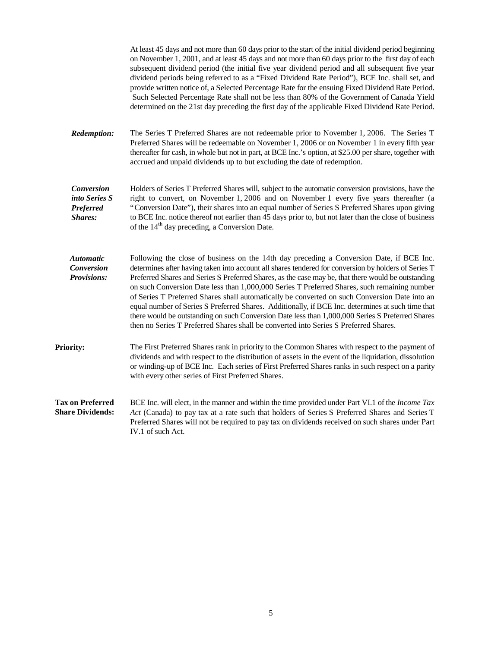|                                                                   | At least 45 days and not more than 60 days prior to the start of the initial dividend period beginning<br>on November 1, 2001, and at least 45 days and not more than 60 days prior to the first day of each<br>subsequent dividend period (the initial five year dividend period and all subsequent five year<br>dividend periods being referred to as a "Fixed Dividend Rate Period"), BCE Inc. shall set, and<br>provide written notice of, a Selected Percentage Rate for the ensuing Fixed Dividend Rate Period.<br>Such Selected Percentage Rate shall not be less than 80% of the Government of Canada Yield<br>determined on the 21st day preceding the first day of the applicable Fixed Dividend Rate Period.                                                                                   |
|-------------------------------------------------------------------|-----------------------------------------------------------------------------------------------------------------------------------------------------------------------------------------------------------------------------------------------------------------------------------------------------------------------------------------------------------------------------------------------------------------------------------------------------------------------------------------------------------------------------------------------------------------------------------------------------------------------------------------------------------------------------------------------------------------------------------------------------------------------------------------------------------|
| <b>Redemption:</b>                                                | The Series T Preferred Shares are not redeemable prior to November 1, 2006. The Series T<br>Preferred Shares will be redeemable on November 1, 2006 or on November 1 in every fifth year<br>thereafter for cash, in whole but not in part, at BCE Inc.'s option, at \$25.00 per share, together with<br>accrued and unpaid dividends up to but excluding the date of redemption.                                                                                                                                                                                                                                                                                                                                                                                                                          |
| <b>Conversion</b><br>into Series S<br><b>Preferred</b><br>Shares: | Holders of Series T Preferred Shares will, subject to the automatic conversion provisions, have the<br>right to convert, on November 1, 2006 and on November 1 every five years thereafter (a<br>"Conversion Date"), their shares into an equal number of Series S Preferred Shares upon giving<br>to BCE Inc. notice thereof not earlier than 45 days prior to, but not later than the close of business<br>of the 14 <sup>th</sup> day preceding, a Conversion Date.                                                                                                                                                                                                                                                                                                                                    |
| <b>Automatic</b><br><b>Conversion</b><br><b>Provisions:</b>       | Following the close of business on the 14th day preceding a Conversion Date, if BCE Inc.<br>determines after having taken into account all shares tendered for conversion by holders of Series T<br>Preferred Shares and Series S Preferred Shares, as the case may be, that there would be outstanding<br>on such Conversion Date less than 1,000,000 Series T Preferred Shares, such remaining number<br>of Series T Preferred Shares shall automatically be converted on such Conversion Date into an<br>equal number of Series S Preferred Shares. Additionally, if BCE Inc. determines at such time that<br>there would be outstanding on such Conversion Date less than 1,000,000 Series S Preferred Shares<br>then no Series T Preferred Shares shall be converted into Series S Preferred Shares. |
| <b>Priority:</b>                                                  | The First Preferred Shares rank in priority to the Common Shares with respect to the payment of<br>dividends and with respect to the distribution of assets in the event of the liquidation, dissolution<br>or winding-up of BCE Inc. Each series of First Preferred Shares ranks in such respect on a parity<br>with every other series of First Preferred Shares.                                                                                                                                                                                                                                                                                                                                                                                                                                       |
| <b>Tax on Preferred</b><br><b>Share Dividends:</b>                | BCE Inc. will elect, in the manner and within the time provided under Part VI.1 of the <i>Income Tax</i><br>Act (Canada) to pay tax at a rate such that holders of Series S Preferred Shares and Series T<br>Preferred Shares will not be required to pay tax on dividends received on such shares under Part<br>IV.1 of such Act.                                                                                                                                                                                                                                                                                                                                                                                                                                                                        |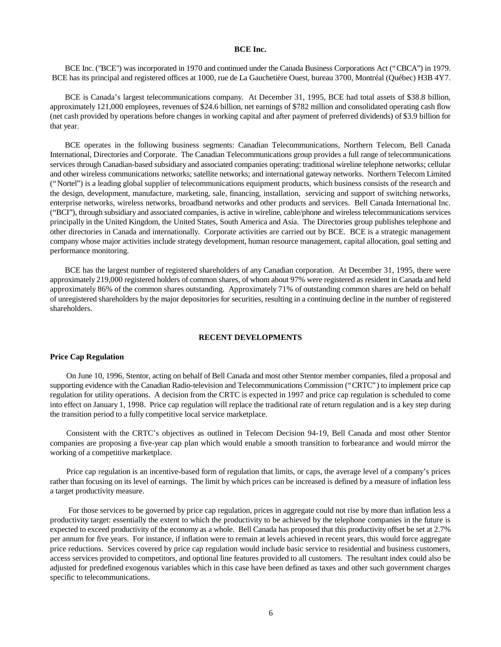#### **BCE Inc.**

BCE Inc. ("BCE") was incorporated in 1970 and continued under the Canada Business Corporations Act ("CBCA") in 1979. BCE has its principal and registered offices at 1000, rue de La Gauchetière Ouest, bureau 3700, Montréal (Québec) H3B 4Y7.

BCE is Canada's largest telecommunications company. At December 31, 1995, BCE had total assets of \$38.8 billion, approximately 121,000 employees, revenues of \$24.6 billion, net earnings of \$782 million and consolidated operating cash flow (net cash provided by operations before changes in working capital and after payment of preferred dividends) of \$3.9 billion for that year.

BCE operates in the following business segments: Canadian Telecommunications, Northern Telecom, Bell Canada International, Directories and Corporate. The Canadian Telecommunications group provides a full range of telecommunications services through Canadian-based subsidiary and associated companies operating: traditional wireline telephone networks; cellular and other wireless communications networks; satellite networks; and international gateway networks. Northern Telecom Limited ("Nortel") is a leading global supplier of telecommunications equipment products, which business consists of the research and the design, development, manufacture, marketing, sale, financing, installation, servicing and support of switching networks, enterprise networks, wireless networks, broadband networks and other products and services. Bell Canada International Inc. ("BCI"), through subsidiary and associated companies, is active in wireline, cable/phone and wireless telecommunications services principally in the United Kingdom, the United States, South America and Asia. The Directories group publishes telephone and other directories in Canada and internationally. Corporate activities are carried out by BCE. BCE is a strategic management company whose major activities include strategy development, human resource management, capital allocation, goal setting and performance monitoring.

BCE has the largest number of registered shareholders of any Canadian corporation. At December 31, 1995, there were approximately 219,000 registered holders of common shares, of whom about 97% were registered as resident in Canada and held approximately 86% of the common shares outstanding. Approximately 71% of outstanding common shares are held on behalf of unregistered shareholders by the major depositories for securities, resulting in a continuing decline in the number of registered shareholders.

### **RECENT DEVELOPMENTS**

#### **Price Cap Regulation**

On June 10, 1996, Stentor, acting on behalf of Bell Canada and most other Stentor member companies, filed a proposal and supporting evidence with the Canadian Radio-television and Telecommunications Commission ("CRTC") to implement price cap regulation for utility operations. A decision from the CRTC is expected in 1997 and price cap regulation is scheduled to come into effect on January 1, 1998. Price cap regulation will replace the traditional rate of return regulation and is a key step during the transition period to a fully competitive local service marketplace.

Consistent with the CRTC's objectives as outlined in Telecom Decision 94-19, Bell Canada and most other Stentor companies are proposing a five-year cap plan which would enable a smooth transition to forbearance and would mirror the working of a competitive marketplace.

Price cap regulation is an incentive-based form of regulation that limits, or caps, the average level of a company's prices rather than focusing on its level of earnings. The limit by which prices can be increased is defined by a measure of inflation less a target productivity measure.

 For those services to be governed by price cap regulation, prices in aggregate could not rise by more than inflation less a productivity target: essentially the extent to which the productivity to be achieved by the telephone companies in the future is expected to exceed productivity of the economy as a whole. Bell Canada has proposed that this productivity offset be set at 2.7% per annum for five years. For instance, if inflation were to remain at levels achieved in recent years, this would force aggregate price reductions. Services covered by price cap regulation would include basic service to residential and business customers, access services provided to competitors, and optional line features provided to all customers. The resultant index could also be adjusted for predefined exogenous variables which in this case have been defined as taxes and other such government charges specific to telecommunications.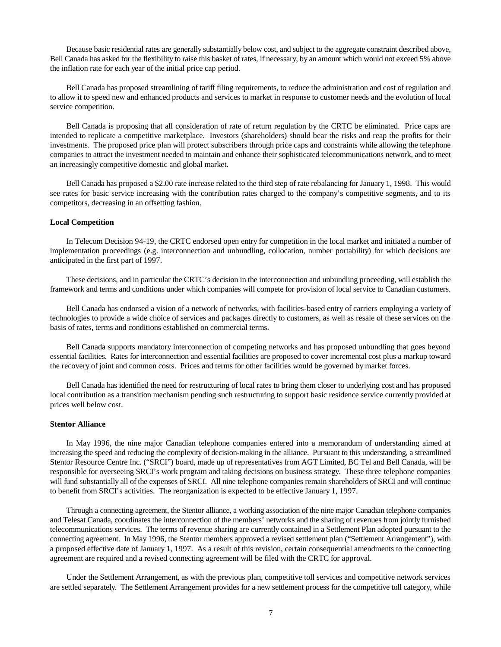Because basic residential rates are generally substantially below cost, and subject to the aggregate constraint described above, Bell Canada has asked for the flexibility to raise this basket of rates, if necessary, by an amount which would not exceed 5% above the inflation rate for each year of the initial price cap period.

Bell Canada has proposed streamlining of tariff filing requirements, to reduce the administration and cost of regulation and to allow it to speed new and enhanced products and services to market in response to customer needs and the evolution of local service competition.

Bell Canada is proposing that all consideration of rate of return regulation by the CRTC be eliminated. Price caps are intended to replicate a competitive marketplace. Investors (shareholders) should bear the risks and reap the profits for their investments. The proposed price plan will protect subscribers through price caps and constraints while allowing the telephone companies to attract the investment needed to maintain and enhance their sophisticated telecommunications network, and to meet an increasingly competitive domestic and global market.

Bell Canada has proposed a \$2.00 rate increase related to the third step of rate rebalancing for January 1, 1998. This would see rates for basic service increasing with the contribution rates charged to the company's competitive segments, and to its competitors, decreasing in an offsetting fashion.

#### **Local Competition**

In Telecom Decision 94-19, the CRTC endorsed open entry for competition in the local market and initiated a number of implementation proceedings (e.g. interconnection and unbundling, collocation, number portability) for which decisions are anticipated in the first part of 1997.

These decisions, and in particular the CRTC's decision in the interconnection and unbundling proceeding, will establish the framework and terms and conditions under which companies will compete for provision of local service to Canadian customers.

Bell Canada has endorsed a vision of a network of networks, with facilities-based entry of carriers employing a variety of technologies to provide a wide choice of services and packages directly to customers, as well as resale of these services on the basis of rates, terms and conditions established on commercial terms.

Bell Canada supports mandatory interconnection of competing networks and has proposed unbundling that goes beyond essential facilities. Rates for interconnection and essential facilities are proposed to cover incremental cost plus a markup toward the recovery of joint and common costs. Prices and terms for other facilities would be governed by market forces.

Bell Canada has identified the need for restructuring of local rates to bring them closer to underlying cost and has proposed local contribution as a transition mechanism pending such restructuring to support basic residence service currently provided at prices well below cost.

#### **Stentor Alliance**

In May 1996, the nine major Canadian telephone companies entered into a memorandum of understanding aimed at increasing the speed and reducing the complexity of decision-making in the alliance. Pursuant to this understanding, a streamlined Stentor Resource Centre Inc. ("SRCI") board, made up of representatives from AGT Limited, BC Tel and Bell Canada, will be responsible for overseeing SRCI's work program and taking decisions on business strategy. These three telephone companies will fund substantially all of the expenses of SRCI. All nine telephone companies remain shareholders of SRCI and will continue to benefit from SRCI's activities. The reorganization is expected to be effective January 1, 1997.

Through a connecting agreement, the Stentor alliance, a working association of the nine major Canadian telephone companies and Telesat Canada, coordinates the interconnection of the members' networks and the sharing of revenues from jointly furnished telecommunications services. The terms of revenue sharing are currently contained in a Settlement Plan adopted pursuant to the connecting agreement. In May 1996, the Stentor members approved a revised settlement plan ("Settlement Arrangement"), with a proposed effective date of January 1, 1997. As a result of this revision, certain consequential amendments to the connecting agreement are required and a revised connecting agreement will be filed with the CRTC for approval.

Under the Settlement Arrangement, as with the previous plan, competitive toll services and competitive network services are settled separately. The Settlement Arrangement provides for a new settlement process for the competitive toll category, while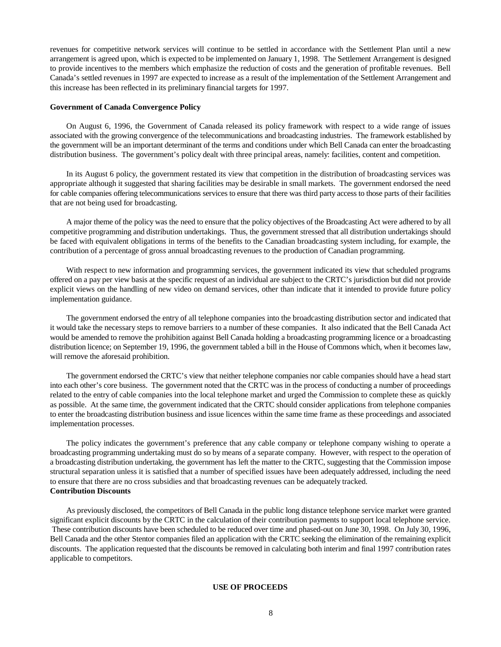revenues for competitive network services will continue to be settled in accordance with the Settlement Plan until a new arrangement is agreed upon, which is expected to be implemented on January 1, 1998. The Settlement Arrangement is designed to provide incentives to the members which emphasize the reduction of costs and the generation of profitable revenues. Bell Canada's settled revenues in 1997 are expected to increase as a result of the implementation of the Settlement Arrangement and this increase has been reflected in its preliminary financial targets for 1997.

#### **Government of Canada Convergence Policy**

On August 6, 1996, the Government of Canada released its policy framework with respect to a wide range of issues associated with the growing convergence of the telecommunications and broadcasting industries. The framework established by the government will be an important determinant of the terms and conditions under which Bell Canada can enter the broadcasting distribution business. The government's policy dealt with three principal areas, namely: facilities, content and competition.

In its August 6 policy, the government restated its view that competition in the distribution of broadcasting services was appropriate although it suggested that sharing facilities may be desirable in small markets. The government endorsed the need for cable companies offering telecommunications services to ensure that there was third party access to those parts of their facilities that are not being used for broadcasting.

A major theme of the policy was the need to ensure that the policy objectives of the Broadcasting Act were adhered to by all competitive programming and distribution undertakings. Thus, the government stressed that all distribution undertakings should be faced with equivalent obligations in terms of the benefits to the Canadian broadcasting system including, for example, the contribution of a percentage of gross annual broadcasting revenues to the production of Canadian programming.

With respect to new information and programming services, the government indicated its view that scheduled programs offered on a pay per view basis at the specific request of an individual are subject to the CRTC's jurisdiction but did not provide explicit views on the handling of new video on demand services, other than indicate that it intended to provide future policy implementation guidance.

The government endorsed the entry of all telephone companies into the broadcasting distribution sector and indicated that it would take the necessary steps to remove barriers to a number of these companies. It also indicated that the Bell Canada Act would be amended to remove the prohibition against Bell Canada holding a broadcasting programming licence or a broadcasting distribution licence; on September 19, 1996, the government tabled a bill in the House of Commons which, when it becomes law, will remove the aforesaid prohibition.

The government endorsed the CRTC's view that neither telephone companies nor cable companies should have a head start into each other's core business. The government noted that the CRTC was in the process of conducting a number of proceedings related to the entry of cable companies into the local telephone market and urged the Commission to complete these as quickly as possible. At the same time, the government indicated that the CRTC should consider applications from telephone companies to enter the broadcasting distribution business and issue licences within the same time frame as these proceedings and associated implementation processes.

The policy indicates the government's preference that any cable company or telephone company wishing to operate a broadcasting programming undertaking must do so by means of a separate company. However, with respect to the operation of a broadcasting distribution undertaking, the government has left the matter to the CRTC, suggesting that the Commission impose structural separation unless it is satisfied that a number of specified issues have been adequately addressed, including the need to ensure that there are no cross subsidies and that broadcasting revenues can be adequately tracked. **Contribution Discounts**

As previously disclosed, the competitors of Bell Canada in the public long distance telephone service market were granted significant explicit discounts by the CRTC in the calculation of their contribution payments to support local telephone service. These contribution discounts have been scheduled to be reduced over time and phased-out on June 30, 1998. On July 30, 1996, Bell Canada and the other Stentor companies filed an application with the CRTC seeking the elimination of the remaining explicit discounts. The application requested that the discounts be removed in calculating both interim and final 1997 contribution rates applicable to competitors.

#### **USE OF PROCEEDS**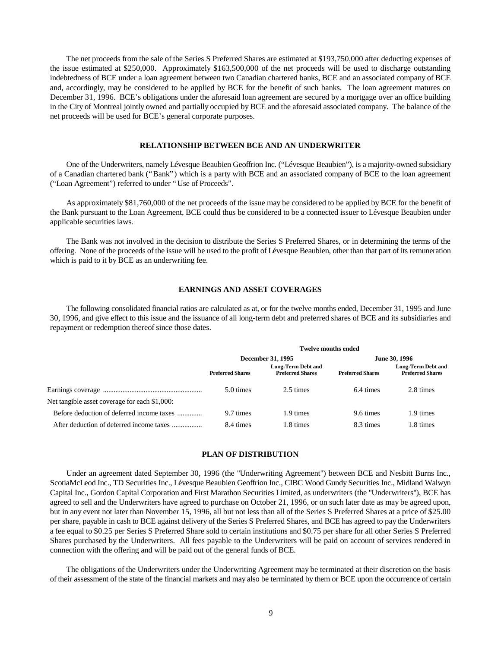The net proceeds from the sale of the Series S Preferred Shares are estimated at \$193,750,000 after deducting expenses of the issue estimated at \$250,000. Approximately \$163,500,000 of the net proceeds will be used to discharge outstanding indebtedness of BCE under a loan agreement between two Canadian chartered banks, BCE and an associated company of BCE and, accordingly, may be considered to be applied by BCE for the benefit of such banks. The loan agreement matures on December 31, 1996. BCE's obligations under the aforesaid loan agreement are secured by a mortgage over an office building in the City of Montreal jointly owned and partially occupied by BCE and the aforesaid associated company. The balance of the net proceeds will be used for BCE's general corporate purposes.

### **RELATIONSHIP BETWEEN BCE AND AN UNDERWRITER**

One of the Underwriters, namely Lévesque Beaubien Geoffrion Inc. ("Lévesque Beaubien"), is a majority-owned subsidiary of a Canadian chartered bank ("Bank") which is a party with BCE and an associated company of BCE to the loan agreement ("Loan Agreement") referred to under "Use of Proceeds".

As approximately \$81,760,000 of the net proceeds of the issue may be considered to be applied by BCE for the benefit of the Bank pursuant to the Loan Agreement, BCE could thus be considered to be a connected issuer to Lévesque Beaubien under applicable securities laws.

The Bank was not involved in the decision to distribute the Series S Preferred Shares, or in determining the terms of the offering. None of the proceeds of the issue will be used to the profit of Lévesque Beaubien, other than that part of its remuneration which is paid to it by BCE as an underwriting fee.

#### **EARNINGS AND ASSET COVERAGES**

The following consolidated financial ratios are calculated as at, or for the twelve months ended, December 31, 1995 and June 30, 1996, and give effect to this issue and the issuance of all long-term debt and preferred shares of BCE and its subsidiaries and repayment or redemption thereof since those dates.

|                                               | <b>Twelve months ended</b> |                                                      |                         |                                                      |
|-----------------------------------------------|----------------------------|------------------------------------------------------|-------------------------|------------------------------------------------------|
|                                               | December 31, 1995          |                                                      | June 30, 1996           |                                                      |
|                                               | <b>Preferred Shares</b>    | <b>Long-Term Debt and</b><br><b>Preferred Shares</b> | <b>Preferred Shares</b> | <b>Long-Term Debt and</b><br><b>Preferred Shares</b> |
|                                               | 5.0 times                  | 2.5 times                                            | 6.4 times               | 2.8 times                                            |
| Net tangible asset coverage for each \$1,000: |                            |                                                      |                         |                                                      |
| Before deduction of deferred income taxes     | 9.7 times                  | 1.9 times                                            | 9.6 times               | 1.9 times                                            |
| After deduction of deferred income taxes      | 8.4 times                  | 1.8 times                                            | 8.3 times               | 1.8 times                                            |

### **PLAN OF DISTRIBUTION**

Under an agreement dated September 30, 1996 (the "Underwriting Agreement") between BCE and Nesbitt Burns Inc., ScotiaMcLeod Inc., TD Securities Inc., Lévesque Beaubien Geoffrion Inc., CIBC Wood Gundy Securities Inc., Midland Walwyn Capital Inc., Gordon Capital Corporation and First Marathon Securities Limited, as underwriters (the "Underwriters"), BCE has agreed to sell and the Underwriters have agreed to purchase on October 21, 1996, or on such later date as may be agreed upon, but in any event not later than November 15, 1996, all but not less than all of the Series S Preferred Shares at a price of \$25.00 per share, payable in cash to BCE against delivery of the Series S Preferred Shares, and BCE has agreed to pay the Underwriters a fee equal to \$0.25 per Series S Preferred Share sold to certain institutions and \$0.75 per share for all other Series S Preferred Shares purchased by the Underwriters. All fees payable to the Underwriters will be paid on account of services rendered in connection with the offering and will be paid out of the general funds of BCE.

The obligations of the Underwriters under the Underwriting Agreement may be terminated at their discretion on the basis of their assessment of the state of the financial markets and may also be terminated by them or BCE upon the occurrence of certain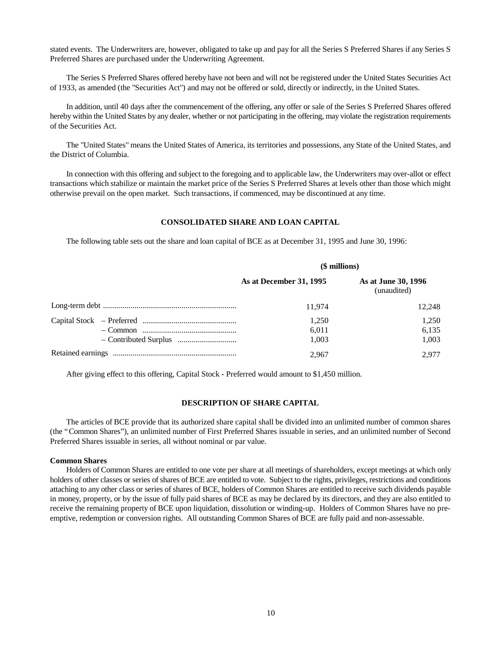stated events. The Underwriters are, however, obligated to take up and pay for all the Series S Preferred Shares if any Series S Preferred Shares are purchased under the Underwriting Agreement.

The Series S Preferred Shares offered hereby have not been and will not be registered under the United States Securities Act of 1933, as amended (the "Securities Act") and may not be offered or sold, directly or indirectly, in the United States.

In addition, until 40 days after the commencement of the offering, any offer or sale of the Series S Preferred Shares offered hereby within the United States by any dealer, whether or not participating in the offering, may violate the registration requirements of the Securities Act.

The "United States" means the United States of America, its territories and possessions, any State of the United States, and the District of Columbia.

In connection with this offering and subject to the foregoing and to applicable law, the Underwriters may over-allot or effect transactions which stabilize or maintain the market price of the Series S Preferred Shares at levels other than those which might otherwise prevail on the open market. Such transactions, if commenced, may be discontinued at any time.

### **CONSOLIDATED SHARE AND LOAN CAPITAL**

The following table sets out the share and loan capital of BCE as at December 31, 1995 and June 30, 1996:

| (\$ millions)           |                                    |
|-------------------------|------------------------------------|
| As at December 31, 1995 | As at June 30, 1996<br>(unaudited) |
| 11.974                  | 12.248                             |
| 1.250                   | 1.250                              |
| 6.011                   | 6,135                              |
| 1,003                   | 1.003                              |
| 2.967                   | 2.977                              |

After giving effect to this offering, Capital Stock - Preferred would amount to \$1,450 million.

#### **DESCRIPTION OF SHARE CAPITAL**

The articles of BCE provide that its authorized share capital shall be divided into an unlimited number of common shares (the "Common Shares"), an unlimited number of First Preferred Shares issuable in series, and an unlimited number of Second Preferred Shares issuable in series, all without nominal or par value.

#### **Common Shares**

Holders of Common Shares are entitled to one vote per share at all meetings of shareholders, except meetings at which only holders of other classes or series of shares of BCE are entitled to vote. Subject to the rights, privileges, restrictions and conditions attaching to any other class or series of shares of BCE, holders of Common Shares are entitled to receive such dividends payable in money, property, or by the issue of fully paid shares of BCE as may be declared by its directors, and they are also entitled to receive the remaining property of BCE upon liquidation, dissolution or winding-up. Holders of Common Shares have no preemptive, redemption or conversion rights. All outstanding Common Shares of BCE are fully paid and non-assessable.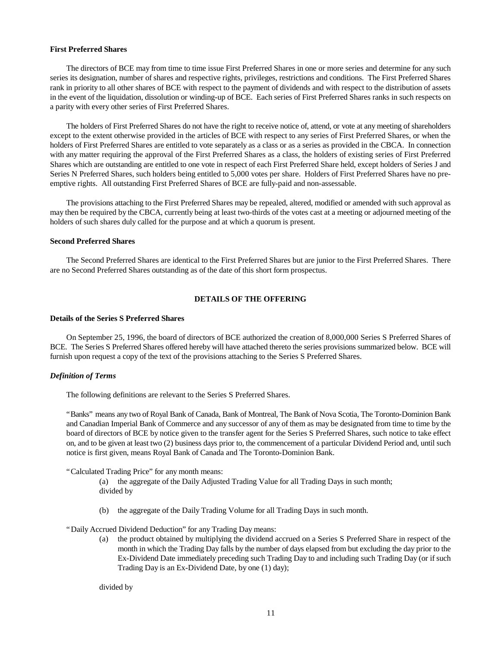#### **First Preferred Shares**

The directors of BCE may from time to time issue First Preferred Shares in one or more series and determine for any such series its designation, number of shares and respective rights, privileges, restrictions and conditions. The First Preferred Shares rank in priority to all other shares of BCE with respect to the payment of dividends and with respect to the distribution of assets in the event of the liquidation, dissolution or winding-up of BCE. Each series of First Preferred Shares ranks in such respects on a parity with every other series of First Preferred Shares.

The holders of First Preferred Shares do not have the right to receive notice of, attend, or vote at any meeting of shareholders except to the extent otherwise provided in the articles of BCE with respect to any series of First Preferred Shares, or when the holders of First Preferred Shares are entitled to vote separately as a class or as a series as provided in the CBCA. In connection with any matter requiring the approval of the First Preferred Shares as a class, the holders of existing series of First Preferred Shares which are outstanding are entitled to one vote in respect of each First Preferred Share held, except holders of Series J and Series N Preferred Shares, such holders being entitled to 5,000 votes per share. Holders of First Preferred Shares have no preemptive rights. All outstanding First Preferred Shares of BCE are fully-paid and non-assessable.

The provisions attaching to the First Preferred Shares may be repealed, altered, modified or amended with such approval as may then be required by the CBCA, currently being at least two-thirds of the votes cast at a meeting or adjourned meeting of the holders of such shares duly called for the purpose and at which a quorum is present.

#### **Second Preferred Shares**

The Second Preferred Shares are identical to the First Preferred Shares but are junior to the First Preferred Shares. There are no Second Preferred Shares outstanding as of the date of this short form prospectus.

### **DETAILS OF THE OFFERING**

### **Details of the Series S Preferred Shares**

On September 25, 1996, the board of directors of BCE authorized the creation of 8,000,000 Series S Preferred Shares of BCE. The Series S Preferred Shares offered hereby will have attached thereto the series provisions summarized below. BCE will furnish upon request a copy of the text of the provisions attaching to the Series S Preferred Shares.

#### *Definition of Terms*

The following definitions are relevant to the Series S Preferred Shares.

"Banks" means any two of Royal Bank of Canada, Bank of Montreal, The Bank of Nova Scotia, The Toronto-Dominion Bank and Canadian Imperial Bank of Commerce and any successor of any of them as may be designated from time to time by the board of directors of BCE by notice given to the transfer agent for the Series S Preferred Shares, such notice to take effect on, and to be given at least two (2) business days prior to, the commencement of a particular Dividend Period and, until such notice is first given, means Royal Bank of Canada and The Toronto-Dominion Bank.

"Calculated Trading Price" for any month means:

(a) the aggregate of the Daily Adjusted Trading Value for all Trading Days in such month; divided by

(b) the aggregate of the Daily Trading Volume for all Trading Days in such month.

"Daily Accrued Dividend Deduction" for any Trading Day means:

the product obtained by multiplying the dividend accrued on a Series S Preferred Share in respect of the month in which the Trading Day falls by the number of days elapsed from but excluding the day prior to the Ex-Dividend Date immediately preceding such Trading Day to and including such Trading Day (or if such Trading Day is an Ex-Dividend Date, by one (1) day);

divided by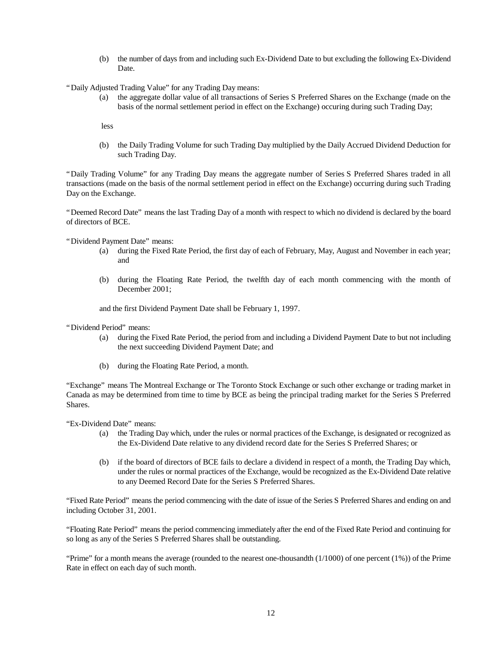(b) the number of days from and including such Ex-Dividend Date to but excluding the following Ex-Dividend Date.

"Daily Adjusted Trading Value" for any Trading Day means:

(a) the aggregate dollar value of all transactions of Series S Preferred Shares on the Exchange (made on the basis of the normal settlement period in effect on the Exchange) occuring during such Trading Day;

less

(b) the Daily Trading Volume for such Trading Day multiplied by the Daily Accrued Dividend Deduction for such Trading Day.

"Daily Trading Volume" for any Trading Day means the aggregate number of Series S Preferred Shares traded in all transactions (made on the basis of the normal settlement period in effect on the Exchange) occurring during such Trading Day on the Exchange.

"Deemed Record Date" means the last Trading Day of a month with respect to which no dividend is declared by the board of directors of BCE.

"Dividend Payment Date" means:

- (a) during the Fixed Rate Period, the first day of each of February, May, August and November in each year; and
- (b) during the Floating Rate Period, the twelfth day of each month commencing with the month of December 2001;

and the first Dividend Payment Date shall be February 1, 1997.

"Dividend Period" means:

- (a) during the Fixed Rate Period, the period from and including a Dividend Payment Date to but not including the next succeeding Dividend Payment Date; and
- (b) during the Floating Rate Period, a month.

"Exchange" means The Montreal Exchange or The Toronto Stock Exchange or such other exchange or trading market in Canada as may be determined from time to time by BCE as being the principal trading market for the Series S Preferred Shares.

"Ex-Dividend Date" means:

- (a) the Trading Day which, under the rules or normal practices of the Exchange, is designated or recognized as the Ex-Dividend Date relative to any dividend record date for the Series S Preferred Shares; or
- (b) if the board of directors of BCE fails to declare a dividend in respect of a month, the Trading Day which, under the rules or normal practices of the Exchange, would be recognized as the Ex-Dividend Date relative to any Deemed Record Date for the Series S Preferred Shares.

"Fixed Rate Period" means the period commencing with the date of issue of the Series S Preferred Shares and ending on and including October 31, 2001.

"Floating Rate Period" means the period commencing immediately after the end of the Fixed Rate Period and continuing for so long as any of the Series S Preferred Shares shall be outstanding.

"Prime" for a month means the average (rounded to the nearest one-thousandth  $(1/1000)$  of one percent  $(1%)$ ) of the Prime Rate in effect on each day of such month.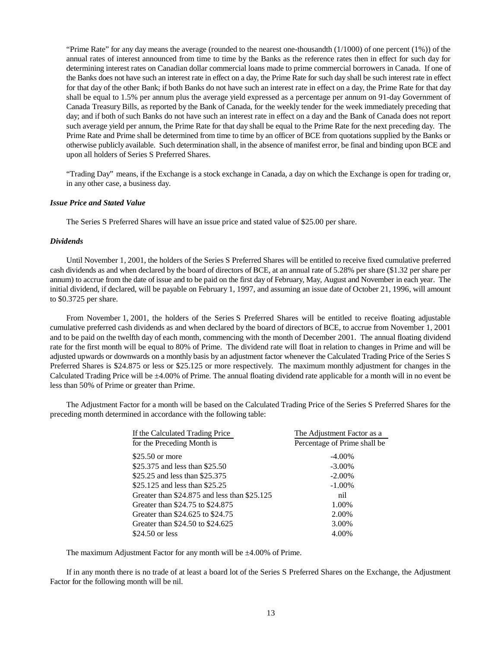"Prime Rate" for any day means the average (rounded to the nearest one-thousandth  $(1/1000)$  of one percent  $(1%)$ ) of the annual rates of interest announced from time to time by the Banks as the reference rates then in effect for such day for determining interest rates on Canadian dollar commercial loans made to prime commercial borrowers in Canada. If one of the Banks does not have such an interest rate in effect on a day, the Prime Rate for such day shall be such interest rate in effect for that day of the other Bank; if both Banks do not have such an interest rate in effect on a day, the Prime Rate for that day shall be equal to 1.5% per annum plus the average yield expressed as a percentage per annum on 91-day Government of Canada Treasury Bills, as reported by the Bank of Canada, for the weekly tender for the week immediately preceding that day; and if both of such Banks do not have such an interest rate in effect on a day and the Bank of Canada does not report such average yield per annum, the Prime Rate for that day shall be equal to the Prime Rate for the next preceding day. The Prime Rate and Prime shall be determined from time to time by an officer of BCE from quotations supplied by the Banks or otherwise publicly available. Such determination shall, in the absence of manifest error, be final and binding upon BCE and upon all holders of Series S Preferred Shares.

"Trading Day" means, if the Exchange is a stock exchange in Canada, a day on which the Exchange is open for trading or, in any other case, a business day.

### *Issue Price and Stated Value*

The Series S Preferred Shares will have an issue price and stated value of \$25.00 per share.

### *Dividends*

Until November 1, 2001, the holders of the Series S Preferred Shares will be entitled to receive fixed cumulative preferred cash dividends as and when declared by the board of directors of BCE, at an annual rate of 5.28% per share (\$1.32 per share per annum) to accrue from the date of issue and to be paid on the first day of February, May, August and November in each year. The initial dividend, if declared, will be payable on February 1, 1997, and assuming an issue date of October 21, 1996, will amount to \$0.3725 per share.

From November 1, 2001, the holders of the Series S Preferred Shares will be entitled to receive floating adjustable cumulative preferred cash dividends as and when declared by the board of directors of BCE, to accrue from November 1, 2001 and to be paid on the twelfth day of each month, commencing with the month of December 2001. The annual floating dividend rate for the first month will be equal to 80% of Prime. The dividend rate will float in relation to changes in Prime and will be adjusted upwards or downwards on a monthly basis by an adjustment factor whenever the Calculated Trading Price of the Series S Preferred Shares is \$24.875 or less or \$25.125 or more respectively. The maximum monthly adjustment for changes in the Calculated Trading Price will be  $\pm 4.00\%$  of Prime. The annual floating dividend rate applicable for a month will in no event be less than 50% of Prime or greater than Prime.

The Adjustment Factor for a month will be based on the Calculated Trading Price of the Series S Preferred Shares for the preceding month determined in accordance with the following table:

| The Adjustment Factor as a   |  |
|------------------------------|--|
| Percentage of Prime shall be |  |
| $-4.00\%$                    |  |
| $-3.00\%$                    |  |
| $-2.00\%$                    |  |
| $-1.00\%$                    |  |
| nil                          |  |
| 1.00%                        |  |
| 2.00%                        |  |
| 3.00%                        |  |
| 4.00%                        |  |
|                              |  |

The maximum Adjustment Factor for any month will be  $\pm 4.00\%$  of Prime.

If in any month there is no trade of at least a board lot of the Series S Preferred Shares on the Exchange, the Adjustment Factor for the following month will be nil.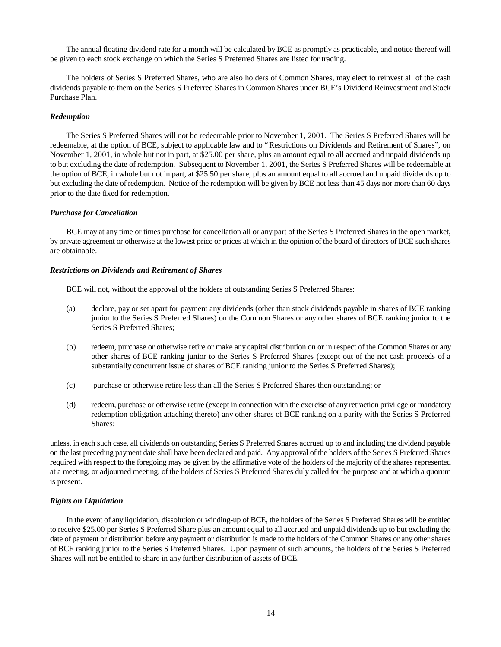The annual floating dividend rate for a month will be calculated by BCE as promptly as practicable, and notice thereof will be given to each stock exchange on which the Series S Preferred Shares are listed for trading.

The holders of Series S Preferred Shares, who are also holders of Common Shares, may elect to reinvest all of the cash dividends payable to them on the Series S Preferred Shares in Common Shares under BCE's Dividend Reinvestment and Stock Purchase Plan.

### *Redemption*

The Series S Preferred Shares will not be redeemable prior to November 1, 2001. The Series S Preferred Shares will be redeemable, at the option of BCE, subject to applicable law and to "Restrictions on Dividends and Retirement of Shares", on November 1, 2001, in whole but not in part, at \$25.00 per share, plus an amount equal to all accrued and unpaid dividends up to but excluding the date of redemption. Subsequent to November 1, 2001, the Series S Preferred Shares will be redeemable at the option of BCE, in whole but not in part, at \$25.50 per share, plus an amount equal to all accrued and unpaid dividends up to but excluding the date of redemption. Notice of the redemption will be given by BCE not less than 45 days nor more than 60 days prior to the date fixed for redemption.

#### *Purchase for Cancellation*

BCE may at any time or times purchase for cancellation all or any part of the Series S Preferred Shares in the open market, by private agreement or otherwise at the lowest price or prices at which in the opinion of the board of directors of BCE such shares are obtainable.

#### *Restrictions on Dividends and Retirement of Shares*

BCE will not, without the approval of the holders of outstanding Series S Preferred Shares:

- (a) declare, pay or set apart for payment any dividends (other than stock dividends payable in shares of BCE ranking junior to the Series S Preferred Shares) on the Common Shares or any other shares of BCE ranking junior to the Series S Preferred Shares;
- (b) redeem, purchase or otherwise retire or make any capital distribution on or in respect of the Common Shares or any other shares of BCE ranking junior to the Series S Preferred Shares (except out of the net cash proceeds of a substantially concurrent issue of shares of BCE ranking junior to the Series S Preferred Shares);
- (c) purchase or otherwise retire less than all the Series S Preferred Shares then outstanding; or
- (d) redeem, purchase or otherwise retire (except in connection with the exercise of any retraction privilege or mandatory redemption obligation attaching thereto) any other shares of BCE ranking on a parity with the Series S Preferred Shares;

unless, in each such case, all dividends on outstanding Series S Preferred Shares accrued up to and including the dividend payable on the last preceding payment date shall have been declared and paid. Any approval of the holders of the Series S Preferred Shares required with respect to the foregoing may be given by the affirmative vote of the holders of the majority of the shares represented at a meeting, or adjourned meeting, of the holders of Series S Preferred Shares duly called for the purpose and at which a quorum is present.

#### *Rights on Liquidation*

In the event of any liquidation, dissolution or winding-up of BCE, the holders of the Series S Preferred Shares will be entitled to receive \$25.00 per Series S Preferred Share plus an amount equal to all accrued and unpaid dividends up to but excluding the date of payment or distribution before any payment or distribution is made to the holders of the Common Shares or any other shares of BCE ranking junior to the Series S Preferred Shares. Upon payment of such amounts, the holders of the Series S Preferred Shares will not be entitled to share in any further distribution of assets of BCE.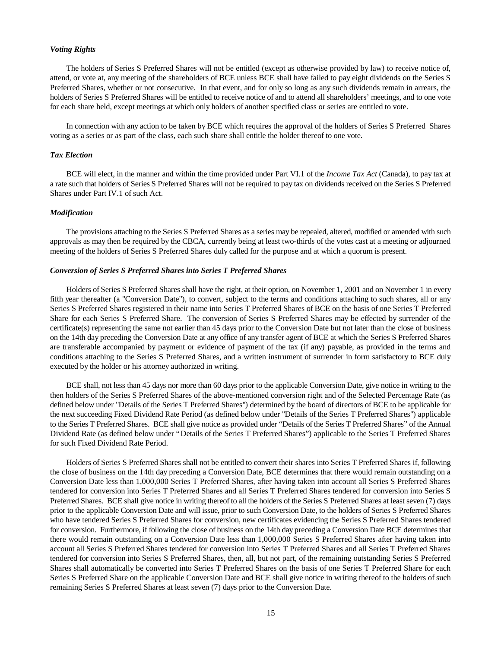#### *Voting Rights*

The holders of Series S Preferred Shares will not be entitled (except as otherwise provided by law) to receive notice of, attend, or vote at, any meeting of the shareholders of BCE unless BCE shall have failed to pay eight dividends on the Series S Preferred Shares, whether or not consecutive. In that event, and for only so long as any such dividends remain in arrears, the holders of Series S Preferred Shares will be entitled to receive notice of and to attend all shareholders' meetings, and to one vote for each share held, except meetings at which only holders of another specified class or series are entitled to vote.

In connection with any action to be taken by BCE which requires the approval of the holders of Series S Preferred Shares voting as a series or as part of the class, each such share shall entitle the holder thereof to one vote.

#### *Tax Election*

BCE will elect, in the manner and within the time provided under Part VI.1 of the *Income Tax Act* (Canada), to pay tax at a rate such that holders of Series S Preferred Shares will not be required to pay tax on dividends received on the Series S Preferred Shares under Part IV.1 of such Act.

#### *Modification*

The provisions attaching to the Series S Preferred Shares as a series may be repealed, altered, modified or amended with such approvals as may then be required by the CBCA, currently being at least two-thirds of the votes cast at a meeting or adjourned meeting of the holders of Series S Preferred Shares duly called for the purpose and at which a quorum is present.

#### *Conversion of Series S Preferred Shares into Series T Preferred Shares*

Holders of Series S Preferred Shares shall have the right, at their option, on November 1, 2001 and on November 1 in every fifth year thereafter (a "Conversion Date"), to convert, subject to the terms and conditions attaching to such shares, all or any Series S Preferred Shares registered in their name into Series T Preferred Shares of BCE on the basis of one Series T Preferred Share for each Series S Preferred Share. The conversion of Series S Preferred Shares may be effected by surrender of the certificate(s) representing the same not earlier than 45 days prior to the Conversion Date but not later than the close of business on the 14th day preceding the Conversion Date at any office of any transfer agent of BCE at which the Series S Preferred Shares are transferable accompanied by payment or evidence of payment of the tax (if any) payable, as provided in the terms and conditions attaching to the Series S Preferred Shares, and a written instrument of surrender in form satisfactory to BCE duly executed by the holder or his attorney authorized in writing.

BCE shall, not less than 45 days nor more than 60 days prior to the applicable Conversion Date, give notice in writing to the then holders of the Series S Preferred Shares of the above-mentioned conversion right and of the Selected Percentage Rate (as defined below under "Details of the Series T Preferred Shares") determined by the board of directors of BCE to be applicable for the next succeeding Fixed Dividend Rate Period (as defined below under "Details of the Series T Preferred Shares") applicable to the Series T Preferred Shares. BCE shall give notice as provided under "Details of the Series T Preferred Shares" of the Annual Dividend Rate (as defined below under "Details of the Series T Preferred Shares") applicable to the Series T Preferred Shares for such Fixed Dividend Rate Period.

Holders of Series S Preferred Shares shall not be entitled to convert their shares into Series T Preferred Shares if, following the close of business on the 14th day preceding a Conversion Date, BCE determines that there would remain outstanding on a Conversion Date less than 1,000,000 Series T Preferred Shares, after having taken into account all Series S Preferred Shares tendered for conversion into Series T Preferred Shares and all Series T Preferred Shares tendered for conversion into Series S Preferred Shares. BCE shall give notice in writing thereof to all the holders of the Series S Preferred Shares at least seven (7) days prior to the applicable Conversion Date and will issue, prior to such Conversion Date, to the holders of Series S Preferred Shares who have tendered Series S Preferred Shares for conversion, new certificates evidencing the Series S Preferred Shares tendered for conversion. Furthermore, if following the close of business on the 14th day preceding a Conversion Date BCE determines that there would remain outstanding on a Conversion Date less than 1,000,000 Series S Preferred Shares after having taken into account all Series S Preferred Shares tendered for conversion into Series T Preferred Shares and all Series T Preferred Shares tendered for conversion into Series S Preferred Shares, then, all, but not part, of the remaining outstanding Series S Preferred Shares shall automatically be converted into Series T Preferred Shares on the basis of one Series T Preferred Share for each Series S Preferred Share on the applicable Conversion Date and BCE shall give notice in writing thereof to the holders of such remaining Series S Preferred Shares at least seven (7) days prior to the Conversion Date.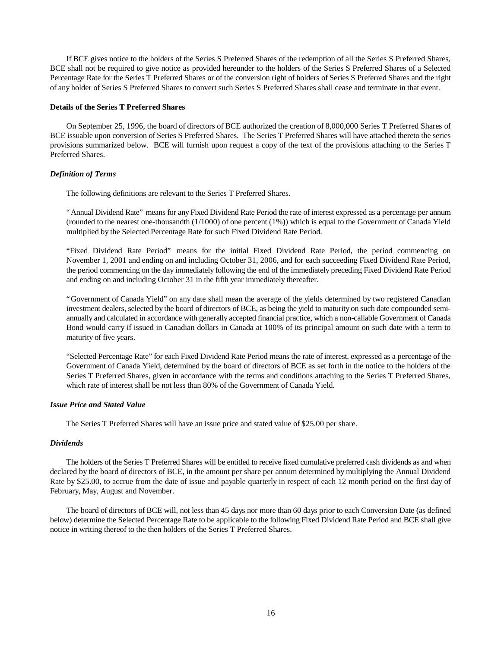If BCE gives notice to the holders of the Series S Preferred Shares of the redemption of all the Series S Preferred Shares, BCE shall not be required to give notice as provided hereunder to the holders of the Series S Preferred Shares of a Selected Percentage Rate for the Series T Preferred Shares or of the conversion right of holders of Series S Preferred Shares and the right of any holder of Series S Preferred Shares to convert such Series S Preferred Shares shall cease and terminate in that event.

### **Details of the Series T Preferred Shares**

On September 25, 1996, the board of directors of BCE authorized the creation of 8,000,000 Series T Preferred Shares of BCE issuable upon conversion of Series S Preferred Shares. The Series T Preferred Shares will have attached thereto the series provisions summarized below. BCE will furnish upon request a copy of the text of the provisions attaching to the Series T Preferred Shares.

### *Definition of Terms*

The following definitions are relevant to the Series T Preferred Shares.

"Annual Dividend Rate" means for any Fixed Dividend Rate Period the rate of interest expressed as a percentage per annum (rounded to the nearest one-thousandth (1/1000) of one percent (1%)) which is equal to the Government of Canada Yield multiplied by the Selected Percentage Rate for such Fixed Dividend Rate Period.

"Fixed Dividend Rate Period" means for the initial Fixed Dividend Rate Period, the period commencing on November 1, 2001 and ending on and including October 31, 2006, and for each succeeding Fixed Dividend Rate Period, the period commencing on the day immediately following the end of the immediately preceding Fixed Dividend Rate Period and ending on and including October 31 in the fifth year immediately thereafter.

"Government of Canada Yield" on any date shall mean the average of the yields determined by two registered Canadian investment dealers, selected by the board of directors of BCE, as being the yield to maturity on such date compounded semiannually and calculated in accordance with generally accepted financial practice, which a non-callable Government of Canada Bond would carry if issued in Canadian dollars in Canada at 100% of its principal amount on such date with a term to maturity of five years.

"Selected Percentage Rate" for each Fixed Dividend Rate Period means the rate of interest, expressed as a percentage of the Government of Canada Yield, determined by the board of directors of BCE as set forth in the notice to the holders of the Series T Preferred Shares, given in accordance with the terms and conditions attaching to the Series T Preferred Shares, which rate of interest shall be not less than 80% of the Government of Canada Yield.

### *Issue Price and Stated Value*

The Series T Preferred Shares will have an issue price and stated value of \$25.00 per share.

### *Dividends*

The holders of the Series T Preferred Shares will be entitled to receive fixed cumulative preferred cash dividends as and when declared by the board of directors of BCE, in the amount per share per annum determined by multiplying the Annual Dividend Rate by \$25.00, to accrue from the date of issue and payable quarterly in respect of each 12 month period on the first day of February, May, August and November.

The board of directors of BCE will, not less than 45 days nor more than 60 days prior to each Conversion Date (as defined below) determine the Selected Percentage Rate to be applicable to the following Fixed Dividend Rate Period and BCE shall give notice in writing thereof to the then holders of the Series T Preferred Shares.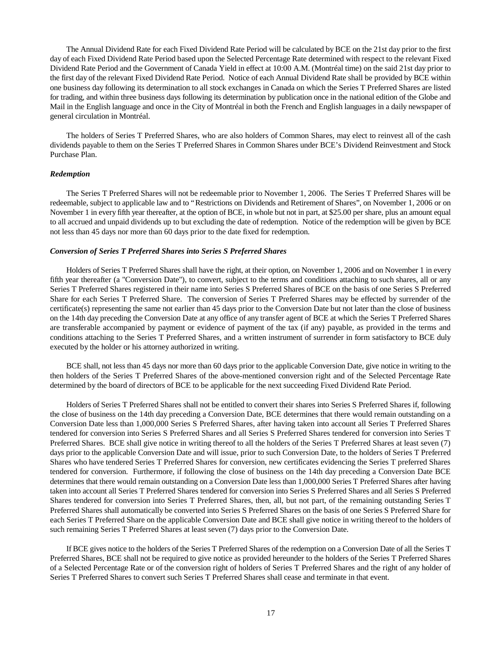The Annual Dividend Rate for each Fixed Dividend Rate Period will be calculated by BCE on the 21st day prior to the first day of each Fixed Dividend Rate Period based upon the Selected Percentage Rate determined with respect to the relevant Fixed Dividend Rate Period and the Government of Canada Yield in effect at 10:00 A.M. (Montréal time) on the said 21st day prior to the first day of the relevant Fixed Dividend Rate Period. Notice of each Annual Dividend Rate shall be provided by BCE within one business day following its determination to all stock exchanges in Canada on which the Series T Preferred Shares are listed for trading, and within three business days following its determination by publication once in the national edition of the Globe and Mail in the English language and once in the City of Montréal in both the French and English languages in a daily newspaper of general circulation in Montréal.

The holders of Series T Preferred Shares, who are also holders of Common Shares, may elect to reinvest all of the cash dividends payable to them on the Series T Preferred Shares in Common Shares under BCE's Dividend Reinvestment and Stock Purchase Plan.

#### *Redemption*

The Series T Preferred Shares will not be redeemable prior to November 1, 2006. The Series T Preferred Shares will be redeemable, subject to applicable law and to "Restrictions on Dividends and Retirement of Shares", on November 1, 2006 or on November 1 in every fifth year thereafter, at the option of BCE, in whole but not in part, at \$25.00 per share, plus an amount equal to all accrued and unpaid dividends up to but excluding the date of redemption. Notice of the redemption will be given by BCE not less than 45 days nor more than 60 days prior to the date fixed for redemption.

#### *Conversion of Series T Preferred Shares into Series S Preferred Shares*

Holders of Series T Preferred Shares shall have the right, at their option, on November 1, 2006 and on November 1 in every fifth year thereafter (a "Conversion Date"), to convert, subject to the terms and conditions attaching to such shares, all or any Series T Preferred Shares registered in their name into Series S Preferred Shares of BCE on the basis of one Series S Preferred Share for each Series T Preferred Share. The conversion of Series T Preferred Shares may be effected by surrender of the certificate(s) representing the same not earlier than 45 days prior to the Conversion Date but not later than the close of business on the 14th day preceding the Conversion Date at any office of any transfer agent of BCE at which the Series T Preferred Shares are transferable accompanied by payment or evidence of payment of the tax (if any) payable, as provided in the terms and conditions attaching to the Series T Preferred Shares, and a written instrument of surrender in form satisfactory to BCE duly executed by the holder or his attorney authorized in writing.

BCE shall, not less than 45 days nor more than 60 days prior to the applicable Conversion Date, give notice in writing to the then holders of the Series T Preferred Shares of the above-mentioned conversion right and of the Selected Percentage Rate determined by the board of directors of BCE to be applicable for the next succeeding Fixed Dividend Rate Period.

Holders of Series T Preferred Shares shall not be entitled to convert their shares into Series S Preferred Shares if, following the close of business on the 14th day preceding a Conversion Date, BCE determines that there would remain outstanding on a Conversion Date less than 1,000,000 Series S Preferred Shares, after having taken into account all Series T Preferred Shares tendered for conversion into Series S Preferred Shares and all Series S Preferred Shares tendered for conversion into Series T Preferred Shares. BCE shall give notice in writing thereof to all the holders of the Series T Preferred Shares at least seven (7) days prior to the applicable Conversion Date and will issue, prior to such Conversion Date, to the holders of Series T Preferred Shares who have tendered Series T Preferred Shares for conversion, new certificates evidencing the Series T preferred Shares tendered for conversion. Furthermore, if following the close of business on the 14th day preceding a Conversion Date BCE determines that there would remain outstanding on a Conversion Date less than 1,000,000 Series T Preferred Shares after having taken into account all Series T Preferred Shares tendered for conversion into Series S Preferred Shares and all Series S Preferred Shares tendered for conversion into Series T Preferred Shares, then, all, but not part, of the remaining outstanding Series T Preferred Shares shall automatically be converted into Series S Preferred Shares on the basis of one Series S Preferred Share for each Series T Preferred Share on the applicable Conversion Date and BCE shall give notice in writing thereof to the holders of such remaining Series T Preferred Shares at least seven (7) days prior to the Conversion Date.

If BCE gives notice to the holders of the Series T Preferred Shares of the redemption on a Conversion Date of all the Series T Preferred Shares, BCE shall not be required to give notice as provided hereunder to the holders of the Series T Preferred Shares of a Selected Percentage Rate or of the conversion right of holders of Series T Preferred Shares and the right of any holder of Series T Preferred Shares to convert such Series T Preferred Shares shall cease and terminate in that event.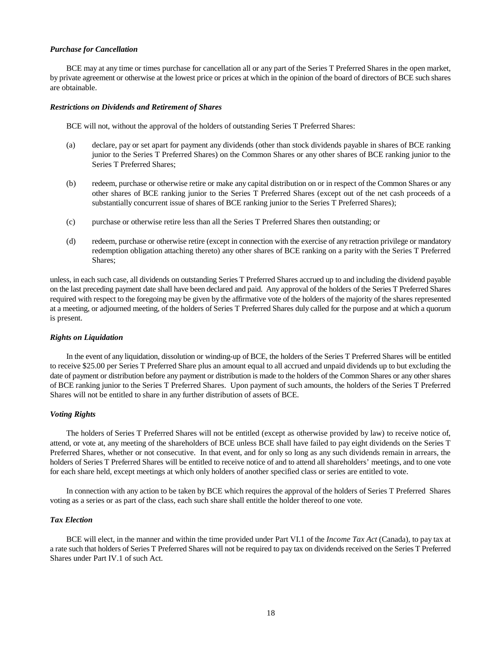#### *Purchase for Cancellation*

BCE may at any time or times purchase for cancellation all or any part of the Series T Preferred Shares in the open market, by private agreement or otherwise at the lowest price or prices at which in the opinion of the board of directors of BCE such shares are obtainable.

#### *Restrictions on Dividends and Retirement of Shares*

BCE will not, without the approval of the holders of outstanding Series T Preferred Shares:

- (a) declare, pay or set apart for payment any dividends (other than stock dividends payable in shares of BCE ranking junior to the Series T Preferred Shares) on the Common Shares or any other shares of BCE ranking junior to the Series T Preferred Shares;
- (b) redeem, purchase or otherwise retire or make any capital distribution on or in respect of the Common Shares or any other shares of BCE ranking junior to the Series T Preferred Shares (except out of the net cash proceeds of a substantially concurrent issue of shares of BCE ranking junior to the Series T Preferred Shares);
- (c) purchase or otherwise retire less than all the Series T Preferred Shares then outstanding; or
- (d) redeem, purchase or otherwise retire (except in connection with the exercise of any retraction privilege or mandatory redemption obligation attaching thereto) any other shares of BCE ranking on a parity with the Series T Preferred Shares;

unless, in each such case, all dividends on outstanding Series T Preferred Shares accrued up to and including the dividend payable on the last preceding payment date shall have been declared and paid. Any approval of the holders of the Series T Preferred Shares required with respect to the foregoing may be given by the affirmative vote of the holders of the majority of the shares represented at a meeting, or adjourned meeting, of the holders of Series T Preferred Shares duly called for the purpose and at which a quorum is present.

#### *Rights on Liquidation*

In the event of any liquidation, dissolution or winding-up of BCE, the holders of the Series T Preferred Shares will be entitled to receive \$25.00 per Series T Preferred Share plus an amount equal to all accrued and unpaid dividends up to but excluding the date of payment or distribution before any payment or distribution is made to the holders of the Common Shares or any other shares of BCE ranking junior to the Series T Preferred Shares. Upon payment of such amounts, the holders of the Series T Preferred Shares will not be entitled to share in any further distribution of assets of BCE.

### *Voting Rights*

The holders of Series T Preferred Shares will not be entitled (except as otherwise provided by law) to receive notice of, attend, or vote at, any meeting of the shareholders of BCE unless BCE shall have failed to pay eight dividends on the Series T Preferred Shares, whether or not consecutive. In that event, and for only so long as any such dividends remain in arrears, the holders of Series T Preferred Shares will be entitled to receive notice of and to attend all shareholders' meetings, and to one vote for each share held, except meetings at which only holders of another specified class or series are entitled to vote.

In connection with any action to be taken by BCE which requires the approval of the holders of Series T Preferred Shares voting as a series or as part of the class, each such share shall entitle the holder thereof to one vote.

### *Tax Election*

BCE will elect, in the manner and within the time provided under Part VI.1 of the *Income Tax Act* (Canada), to pay tax at a rate such that holders of Series T Preferred Shares will not be required to pay tax on dividends received on the Series T Preferred Shares under Part IV.1 of such Act.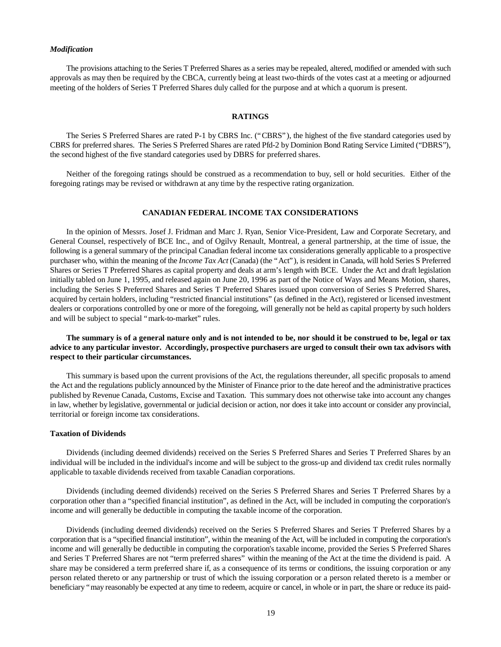#### *Modification*

The provisions attaching to the Series T Preferred Shares as a series may be repealed, altered, modified or amended with such approvals as may then be required by the CBCA, currently being at least two-thirds of the votes cast at a meeting or adjourned meeting of the holders of Series T Preferred Shares duly called for the purpose and at which a quorum is present.

### **RATINGS**

The Series S Preferred Shares are rated P-1 by CBRS Inc. ("CBRS"), the highest of the five standard categories used by CBRS for preferred shares. The Series S Preferred Shares are rated Pfd-2 by Dominion Bond Rating Service Limited ("DBRS"), the second highest of the five standard categories used by DBRS for preferred shares.

Neither of the foregoing ratings should be construed as a recommendation to buy, sell or hold securities. Either of the foregoing ratings may be revised or withdrawn at any time by the respective rating organization.

### **CANADIAN FEDERAL INCOME TAX CONSIDERATIONS**

In the opinion of Messrs. Josef J. Fridman and Marc J. Ryan, Senior Vice-President, Law and Corporate Secretary, and General Counsel, respectively of BCE Inc., and of Ogilvy Renault, Montreal, a general partnership, at the time of issue, the following is a general summary of the principal Canadian federal income tax considerations generally applicable to a prospective purchaser who, within the meaning of the *Income Tax Act* (Canada) (the "Act"), is resident in Canada, will hold Series S Preferred Shares or Series T Preferred Shares as capital property and deals at arm's length with BCE. Under the Act and draft legislation initially tabled on June 1, 1995, and released again on June 20, 1996 as part of the Notice of Ways and Means Motion, shares, including the Series S Preferred Shares and Series T Preferred Shares issued upon conversion of Series S Preferred Shares, acquired by certain holders, including "restricted financial institutions" (as defined in the Act), registered or licensed investment dealers or corporations controlled by one or more of the foregoing, will generally not be held as capital property by such holders and will be subject to special "mark-to-market" rules.

### **The summary is of a general nature only and is not intended to be, nor should it be construed to be, legal or tax advice to any particular investor. Accordingly, prospective purchasers are urged to consult their own tax advisors with respect to their particular circumstances.**

This summary is based upon the current provisions of the Act, the regulations thereunder, all specific proposals to amend the Act and the regulations publicly announced by the Minister of Finance prior to the date hereof and the administrative practices published by Revenue Canada, Customs, Excise and Taxation. This summary does not otherwise take into account any changes in law, whether by legislative, governmental or judicial decision or action, nor does it take into account or consider any provincial, territorial or foreign income tax considerations.

#### **Taxation of Dividends**

Dividends (including deemed dividends) received on the Series S Preferred Shares and Series T Preferred Shares by an individual will be included in the individual's income and will be subject to the gross-up and dividend tax credit rules normally applicable to taxable dividends received from taxable Canadian corporations.

Dividends (including deemed dividends) received on the Series S Preferred Shares and Series T Preferred Shares by a corporation other than a "specified financial institution", as defined in the Act, will be included in computing the corporation's income and will generally be deductible in computing the taxable income of the corporation.

Dividends (including deemed dividends) received on the Series S Preferred Shares and Series T Preferred Shares by a corporation that is a "specified financial institution", within the meaning of the Act, will be included in computing the corporation's income and will generally be deductible in computing the corporation's taxable income, provided the Series S Preferred Shares and Series T Preferred Shares are not "term preferred shares" within the meaning of the Act at the time the dividend is paid. A share may be considered a term preferred share if, as a consequence of its terms or conditions, the issuing corporation or any person related thereto or any partnership or trust of which the issuing corporation or a person related thereto is a member or beneficiary "may reasonably be expected at any time to redeem, acquire or cancel, in whole or in part, the share or reduce its paid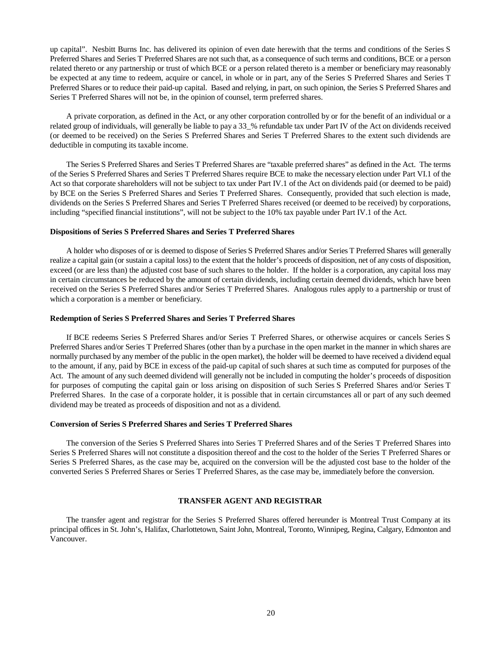up capital". Nesbitt Burns Inc. has delivered its opinion of even date herewith that the terms and conditions of the Series S Preferred Shares and Series T Preferred Shares are not such that, as a consequence of such terms and conditions, BCE or a person related thereto or any partnership or trust of which BCE or a person related thereto is a member or beneficiary may reasonably be expected at any time to redeem, acquire or cancel, in whole or in part, any of the Series S Preferred Shares and Series T Preferred Shares or to reduce their paid-up capital. Based and relying, in part, on such opinion, the Series S Preferred Shares and Series T Preferred Shares will not be, in the opinion of counsel, term preferred shares.

A private corporation, as defined in the Act, or any other corporation controlled by or for the benefit of an individual or a related group of individuals, will generally be liable to pay a 33\_% refundable tax under Part IV of the Act on dividends received (or deemed to be received) on the Series S Preferred Shares and Series T Preferred Shares to the extent such dividends are deductible in computing its taxable income.

The Series S Preferred Shares and Series T Preferred Shares are "taxable preferred shares" as defined in the Act. The terms of the Series S Preferred Shares and Series T Preferred Shares require BCE to make the necessary election under Part VI.1 of the Act so that corporate shareholders will not be subject to tax under Part IV.1 of the Act on dividends paid (or deemed to be paid) by BCE on the Series S Preferred Shares and Series T Preferred Shares. Consequently, provided that such election is made, dividends on the Series S Preferred Shares and Series T Preferred Shares received (or deemed to be received) by corporations, including "specified financial institutions", will not be subject to the 10% tax payable under Part IV.1 of the Act.

#### **Dispositions of Series S Preferred Shares and Series T Preferred Shares**

A holder who disposes of or is deemed to dispose of Series S Preferred Shares and/or Series T Preferred Shares will generally realize a capital gain (or sustain a capital loss) to the extent that the holder's proceeds of disposition, net of any costs of disposition, exceed (or are less than) the adjusted cost base of such shares to the holder. If the holder is a corporation, any capital loss may in certain circumstances be reduced by the amount of certain dividends, including certain deemed dividends, which have been received on the Series S Preferred Shares and/or Series T Preferred Shares. Analogous rules apply to a partnership or trust of which a corporation is a member or beneficiary.

### **Redemption of Series S Preferred Shares and Series T Preferred Shares**

If BCE redeems Series S Preferred Shares and/or Series T Preferred Shares, or otherwise acquires or cancels Series S Preferred Shares and/or Series T Preferred Shares (other than by a purchase in the open market in the manner in which shares are normally purchased by any member of the public in the open market), the holder will be deemed to have received a dividend equal to the amount, if any, paid by BCE in excess of the paid-up capital of such shares at such time as computed for purposes of the Act. The amount of any such deemed dividend will generally not be included in computing the holder's proceeds of disposition for purposes of computing the capital gain or loss arising on disposition of such Series S Preferred Shares and/or Series T Preferred Shares. In the case of a corporate holder, it is possible that in certain circumstances all or part of any such deemed dividend may be treated as proceeds of disposition and not as a dividend.

### **Conversion of Series S Preferred Shares and Series T Preferred Shares**

The conversion of the Series S Preferred Shares into Series T Preferred Shares and of the Series T Preferred Shares into Series S Preferred Shares will not constitute a disposition thereof and the cost to the holder of the Series T Preferred Shares or Series S Preferred Shares, as the case may be, acquired on the conversion will be the adjusted cost base to the holder of the converted Series S Preferred Shares or Series T Preferred Shares, as the case may be, immediately before the conversion.

### **TRANSFER AGENT AND REGISTRAR**

The transfer agent and registrar for the Series S Preferred Shares offered hereunder is Montreal Trust Company at its principal offices in St. John's, Halifax, Charlottetown, Saint John, Montreal, Toronto, Winnipeg, Regina, Calgary, Edmonton and Vancouver.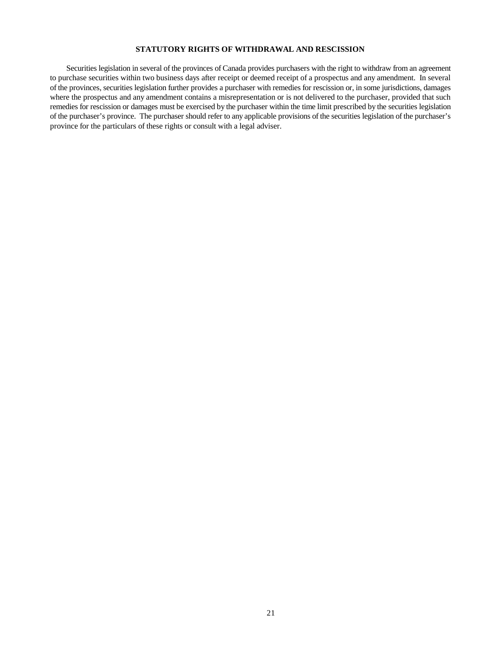### **STATUTORY RIGHTS OF WITHDRAWAL AND RESCISSION**

Securities legislation in several of the provinces of Canada provides purchasers with the right to withdraw from an agreement to purchase securities within two business days after receipt or deemed receipt of a prospectus and any amendment. In several of the provinces, securities legislation further provides a purchaser with remedies for rescission or, in some jurisdictions, damages where the prospectus and any amendment contains a misrepresentation or is not delivered to the purchaser, provided that such remedies for rescission or damages must be exercised by the purchaser within the time limit prescribed by the securities legislation of the purchaser's province. The purchaser should refer to any applicable provisions of the securities legislation of the purchaser's province for the particulars of these rights or consult with a legal adviser.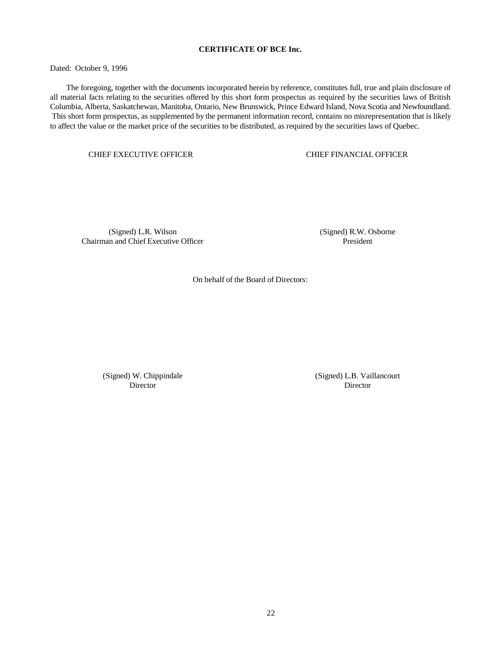### **CERTIFICATE OF BCE Inc.**

Dated: October 9, 1996

The foregoing, together with the documents incorporated herein by reference, constitutes full, true and plain disclosure of all material facts relating to the securities offered by this short form prospectus as required by the securities laws of British Columbia, Alberta, Saskatchewan, Manitoba, Ontario, New Brunswick, Prince Edward Island, Nova Scotia and Newfoundland. This short form prospectus, as supplemented by the permanent information record, contains no misrepresentation that is likely to affect the value or the market price of the securities to be distributed, as required by the securities laws of Quebec.

CHIEF EXECUTIVE OFFICER CHIEF FINANCIAL OFFICER

(Signed) L.R. Wilson Chairman and Chief Executive Officer (Signed) R.W. Osborne President

On behalf of the Board of Directors:

(Signed) W. Chippindale Director

(Signed) L.B. Vaillancourt Director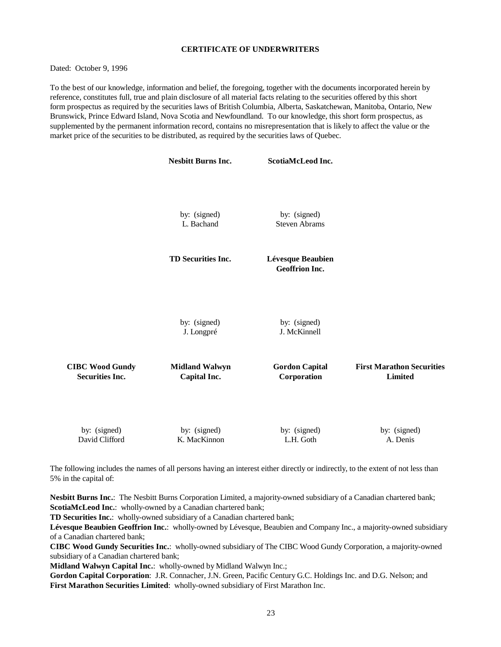### **CERTIFICATE OF UNDERWRITERS**

Dated: October 9, 1996

To the best of our knowledge, information and belief, the foregoing, together with the documents incorporated herein by reference, constitutes full, true and plain disclosure of all material facts relating to the securities offered by this short form prospectus as required by the securities laws of British Columbia, Alberta, Saskatchewan, Manitoba, Ontario, New Brunswick, Prince Edward Island, Nova Scotia and Newfoundland. To our knowledge, this short form prospectus, as supplemented by the permanent information record, contains no misrepresentation that is likely to affect the value or the market price of the securities to be distributed, as required by the securities laws of Quebec.

|                                                  | <b>Nesbitt Burns Inc.</b>             | <b>ScotiaMcLeod Inc.</b>                   |                                                    |
|--------------------------------------------------|---------------------------------------|--------------------------------------------|----------------------------------------------------|
|                                                  |                                       |                                            |                                                    |
|                                                  | by: (signed)<br>L. Bachand            | by: (signed)<br><b>Steven Abrams</b>       |                                                    |
|                                                  | TD Securities Inc.                    | Lévesque Beaubien<br><b>Geoffrion Inc.</b> |                                                    |
|                                                  | by: (signed)<br>J. Longpré            | by: (signed)<br>J. McKinnell               |                                                    |
| <b>CIBC Wood Gundy</b><br><b>Securities Inc.</b> | <b>Midland Walwyn</b><br>Capital Inc. | <b>Gordon Capital</b><br>Corporation       | <b>First Marathon Securities</b><br><b>Limited</b> |
| by: (signed)<br>David Clifford                   | by: (signed)<br>K. MacKinnon          | by: (signed)<br>L.H. Goth                  | by: (signed)<br>A. Denis                           |

The following includes the names of all persons having an interest either directly or indirectly, to the extent of not less than 5% in the capital of:

**Nesbitt Burns Inc.**: The Nesbitt Burns Corporation Limited, a majority-owned subsidiary of a Canadian chartered bank; **ScotiaMcLeod Inc.**: wholly-owned by a Canadian chartered bank;

**TD Securities Inc.**: wholly-owned subsidiary of a Canadian chartered bank;

**Lévesque Beaubien Geoffrion Inc.**: wholly-owned by Lévesque, Beaubien and Company Inc., a majority-owned subsidiary of a Canadian chartered bank;

**CIBC Wood Gundy Securities Inc.**: wholly-owned subsidiary of The CIBC Wood Gundy Corporation, a majority-owned subsidiary of a Canadian chartered bank;

**Midland Walwyn Capital Inc.**: wholly-owned by Midland Walwyn Inc.;

**Gordon Capital Corporation**: J.R. Connacher, J.N. Green, Pacific Century G.C. Holdings Inc. and D.G. Nelson; and **First Marathon Securities Limited**: wholly-owned subsidiary of First Marathon Inc.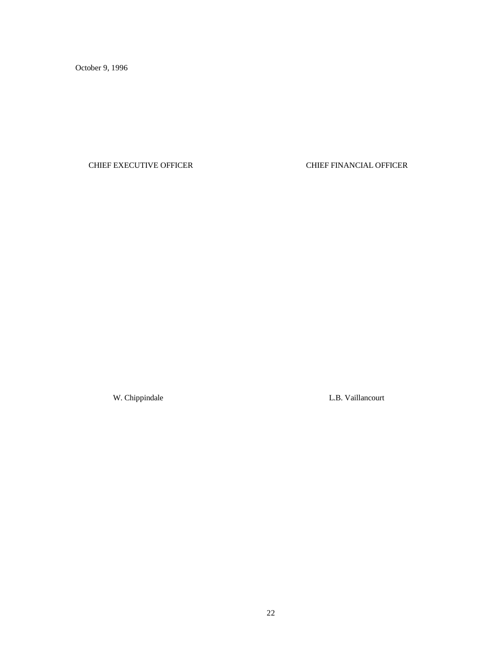October 9, 1996

## CHIEF EXECUTIVE OFFICER CHIEF FINANCIAL OFFICER

W. Chippindale L.B. Vaillancourt